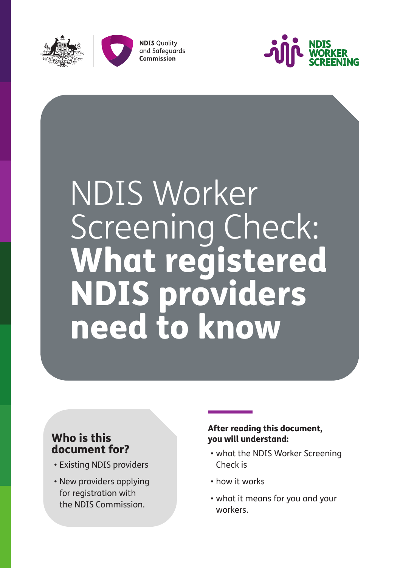



**NDIS Quality** and Safeguards Commission



# NDIS Worker Screening Check: What registered NDIS providers need to know

### Who is this document for?

- Existing NDIS providers
- New providers applying for registration with the NDIS Commission.

#### After reading this document, you will understand:

- what the NDIS Worker Screening Check is
- how it works
- what it means for you and your workers.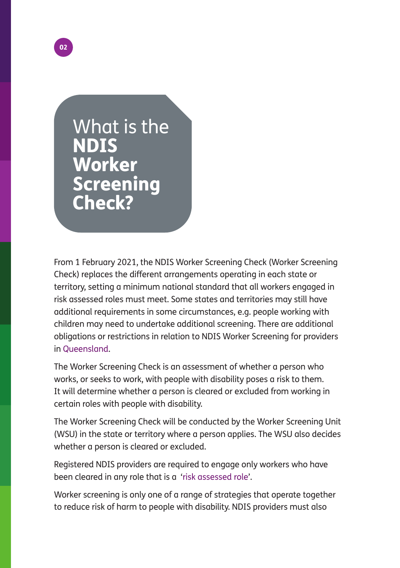

What is the NDIS Worker **Screening** Check?

From 1 February 2021, the NDIS Worker Screening Check (Worker Screening Check) replaces the different arrangements operating in each state or territory, setting a minimum national standard that all workers engaged in risk assessed roles must meet. Some states and territories may still have additional requirements in some circumstances, e.g. people working with children may need to undertake additional screening. There are additional obligations or restrictions in relation to NDIS Worker Screening for providers in [Queensland.](http://workerscreening.communities.qld.gov.au/)

The Worker Screening Check is an assessment of whether a person who works, or seeks to work, with people with disability poses a risk to them. It will determine whether a person is cleared or excluded from working in certain roles with people with disability.

The Worker Screening Check will be conducted by the Worker Screening Unit (WSU) in the state or territory where a person applies. The WSU also decides whether a person is cleared or excluded.

Registered NDIS providers are required to engage only workers who have been cleared in any role that is a '[risk assessed role'](https://www.ndiscommission.gov.au/providers/worker-screening#ide).

Worker screening is only one of a range of strategies that operate together to reduce risk of harm to people with disability. NDIS providers must also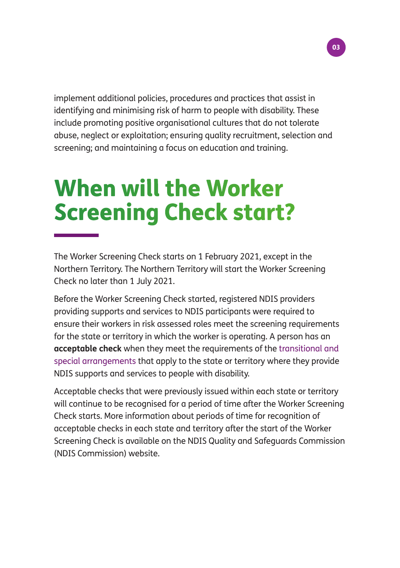implement additional policies, procedures and practices that assist in identifying and minimising risk of harm to people with disability. These include promoting positive organisational cultures that do not tolerate abuse, neglect or exploitation; ensuring quality recruitment, selection and screening; and maintaining a focus on education and training.

03

### When will the Worker Screening Check start?

The Worker Screening Check starts on 1 February 2021, except in the Northern Territory. The Northern Territory will start the Worker Screening Check no later than 1 July 2021.

Before the Worker Screening Check started, registered NDIS providers providing supports and services to NDIS participants were required to ensure their workers in risk assessed roles meet the screening requirements for the state or territory in which the worker is operating. A person has an **acceptable check** when they meet the requirements of the [transitional and](https://www.ndiscommission.gov.au/providers/worker-screening/interimarrangements)  [special arrangements](https://www.ndiscommission.gov.au/providers/worker-screening/interimarrangements) that apply to the state or territory where they provide NDIS supports and services to people with disability.

Acceptable checks that were previously issued within each state or territory will continue to be recognised for a period of time after the Worker Screening Check starts. More information about periods of time for recognition of acceptable checks in each state and territory after the start of the Worker Screening Check is available on the NDIS Quality and Safeguards Commission (NDIS Commission) website.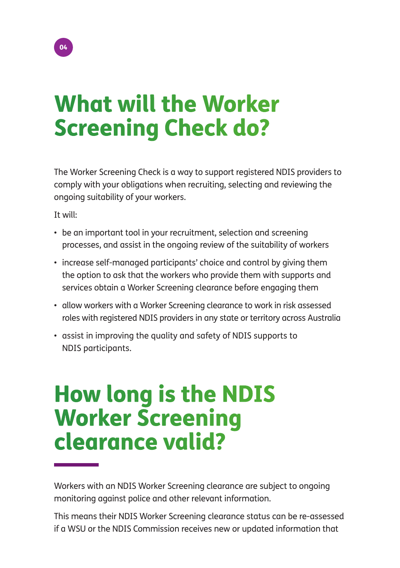## What will the Worker Screening Check do?

The Worker Screening Check is a way to support registered NDIS providers to comply with your obligations when recruiting, selecting and reviewing the ongoing suitability of your workers.

It will:

- be an important tool in your recruitment, selection and screening processes, and assist in the ongoing review of the suitability of workers
- increase self-managed participants' choice and control by giving them the option to ask that the workers who provide them with supports and services obtain a Worker Screening clearance before engaging them
- allow workers with a Worker Screening clearance to work in risk assessed roles with registered NDIS providers in any state or territory across Australia
- assist in improving the quality and safety of NDIS supports to NDIS participants.

### How long is the NDIS Worker Screening clearance valid?

Workers with an NDIS Worker Screening clearance are subject to ongoing monitoring against police and other relevant information.

This means their NDIS Worker Screening clearance status can be re-assessed if a WSU or the NDIS Commission receives new or updated information that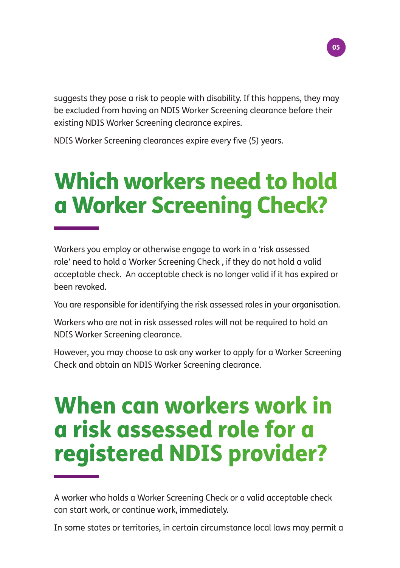

suggests they pose a risk to people with disability. If this happens, they may be excluded from having an NDIS Worker Screening clearance before their existing NDIS Worker Screening clearance expires.

NDIS Worker Screening clearances expire every five (5) years.

## Which workers need to hold a Worker Screening Check?

Workers you employ or otherwise engage to work in a 'risk assessed role' need to hold a Worker Screening Check , if they do not hold a valid acceptable check. An acceptable check is no longer valid if it has expired or been revoked.

You are responsible for identifying the risk assessed roles in your organisation.

Workers who are not in risk assessed roles will not be required to hold an NDIS Worker Screening clearance.

However, you may choose to ask any worker to apply for a Worker Screening Check and obtain an NDIS Worker Screening clearance.

### When can workers work in a risk assessed role for a registered NDIS provider?

A worker who holds a Worker Screening Check or a valid acceptable check can start work, or continue work, immediately.

In some states or territories, in certain circumstance local laws may permit a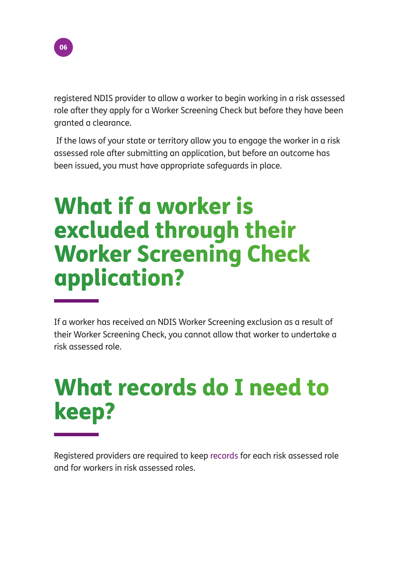

registered NDIS provider to allow a worker to begin working in a risk assessed role after they apply for a Worker Screening Check but before they have been granted a clearance.

 If the laws of your state or territory allow you to engage the worker in a risk assessed role after submitting an application, but before an outcome has been issued, you must have appropriate safeguards in place.

### What if a worker is excluded through their Worker Screening Check application?

If a worker has received an NDIS Worker Screening exclusion as a result of their Worker Screening Check, you cannot allow that worker to undertake a risk assessed role.

## What records do I need to keep?

Registered providers are required to keep [records](https://www.ndiscommission.gov.au/providers/worker-screening#rec) for each risk assessed role and for workers in risk assessed roles.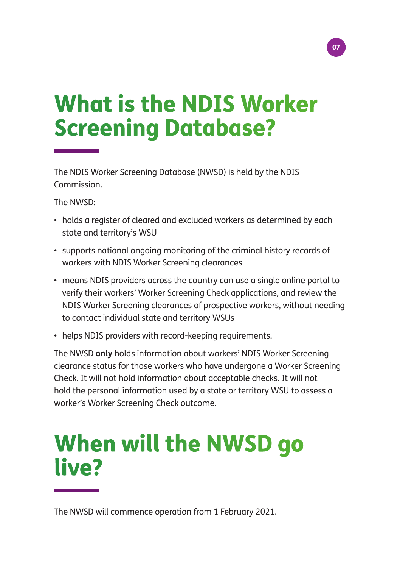### 07

## What is the NDIS Worker Screening Database?

The NDIS Worker Screening Database (NWSD) is held by the NDIS Commission.

The NWSD:

- holds a register of cleared and excluded workers as determined by each state and territory's WSU
- supports national ongoing monitoring of the criminal history records of workers with NDIS Worker Screening clearances
- means NDIS providers across the country can use a single online portal to verify their workers' Worker Screening Check applications, and review the NDIS Worker Screening clearances of prospective workers, without needing to contact individual state and territory WSUs
- helps NDIS providers with record-keeping requirements.

The NWSD **only** holds information about workers' NDIS Worker Screening clearance status for those workers who have undergone a Worker Screening Check. It will not hold information about acceptable checks. It will not hold the personal information used by a state or territory WSU to assess a worker's Worker Screening Check outcome.

### When will the NWSD go live?

The NWSD will commence operation from 1 February 2021.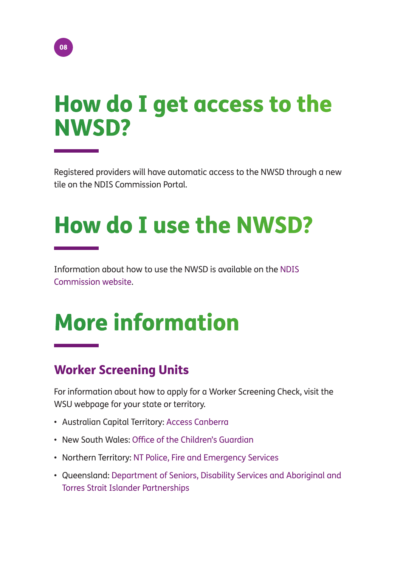### How do I get access to the NWSD?

Registered providers will have automatic access to the NWSD through a new tile on the NDIS Commission Portal.

## How do I use the NWSD?

Information about how to use the NWSD is available on the [NDIS](https://www.ndiscommission.gov.au/ndis-worker-screening-database)  [Commission website.](https://www.ndiscommission.gov.au/ndis-worker-screening-database)

## More information

### Worker Screening Units

For information about how to apply for a Worker Screening Check, visit the WSU webpage for your state or territory.

- Australian Capital Territory: [Access Canberra](https://www.accesscanberra.act.gov.au/app/home)
- New South Wales: [Office of the Children's Guardian](http://www.service.nsw.gov.au/ndiswc)
- Northern Territory: [NT Police, Fire and Emergency Services](https://forms.pfes.nt.gov.au/safent/)
- Queensland: [Department of Seniors, Disability Services and Aboriginal and](http://workerscreening.communities.qld.gov.au/)  [Torres Strait Islander Partnerships](http://workerscreening.communities.qld.gov.au/)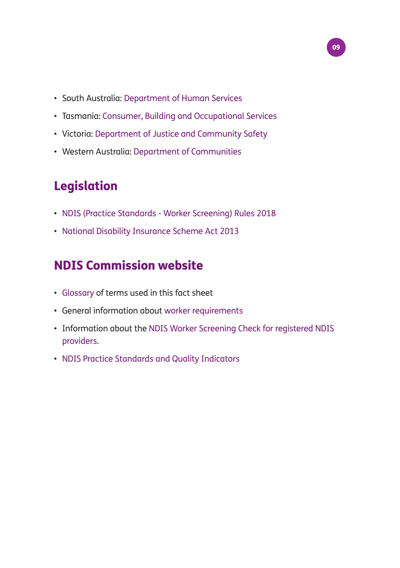- South Australia: [Department of Human Services](https://screening.sa.gov.au/)
- Tasmania: [Consumer, Building and Occupational Services](https://www.cbos.tas.gov.au/topics/licensing-and-registration/registrations/work-with-vulnerable-people)

09

- Victoria: [Department of Justice and Community Safety](https://www.vic.gov.au/ndis-worker-screening-check)
- Western Australia: [Department of Communities](https://www.wa.gov.au/organisation/department-of-communities/ndis-worker-screening-check)

### Legislation

- [NDIS \(Practice Standards Worker Screening\) Rules 2018](https://www.legislation.gov.au/Details/F2020C01138)
- [National Disability Insurance Scheme Act 2013](https://www.legislation.gov.au/Details/C2020C00392)

### NDIS Commission website

- [Glossary](https://www.ndiscommission.gov.au/about/ndis-worker-screening-check#gloss) of terms used in this fact sheet
- General information about [worker requirements](https://www.ndiscommission.gov.au/workers/worker-screening-workers)
- Information about the [NDIS Worker Screening Check for registered NDIS](https://www.ndiscommission.gov.au/providers/worker-screening)  [providers.](https://www.ndiscommission.gov.au/providers/worker-screening)
- [NDIS Practice Standards and Quality Indicators](https://www.ndiscommission.gov.au/document/986)